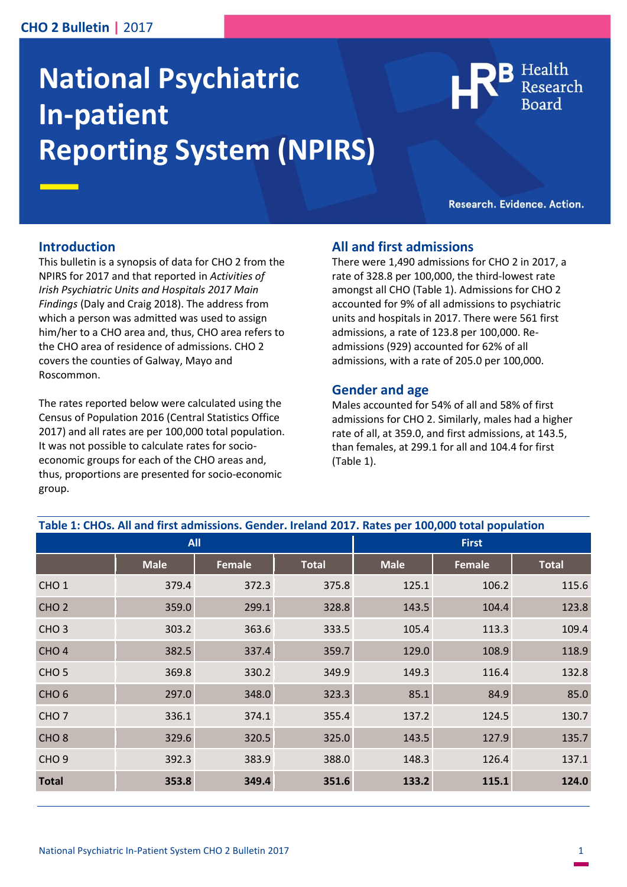## **CHO 2 Bulletin |** 2017

# **National Psychiatric In-patient Reporting System (NPIRS)**

Health

Research. Evidence. Action.

#### **Introduction**

This bulletin is a synopsis of data for CHO 2 from the NPIRS for 2017 and that reported in *Activities of Irish Psychiatric Units and Hospitals 2017 Main Findings* (Daly and Craig 2018). The address from which a person was admitted was used to assign him/her to a CHO area and, thus, CHO area refers to the CHO area of residence of admissions. CHO 2 covers the counties of Galway, Mayo and Roscommon.

The rates reported below were calculated using the Census of Population 2016 (Central Statistics Office 2017) and all rates are per 100,000 total population. It was not possible to calculate rates for socioeconomic groups for each of the CHO areas and, thus, proportions are presented for socio-economic group.

#### **All and first admissions**

There were 1,490 admissions for CHO 2 in 2017, a rate of 328.8 per 100,000, the third-lowest rate amongst all CHO (Table 1). Admissions for CHO 2 accounted for 9% of all admissions to psychiatric units and hospitals in 2017. There were 561 first admissions, a rate of 123.8 per 100,000. Readmissions (929) accounted for 62% of all admissions, with a rate of 205.0 per 100,000.

#### **Gender and age**

Males accounted for 54% of all and 58% of first admissions for CHO 2. Similarly, males had a higher rate of all, at 359.0, and first admissions, at 143.5, than females, at 299.1 for all and 104.4 for first (Table 1).

| Table 1: CHOs. All and first admissions. Gender. Ireland 2017. Rates per 100,000 total population |             |               |              |              |        |              |
|---------------------------------------------------------------------------------------------------|-------------|---------------|--------------|--------------|--------|--------------|
| <b>All</b>                                                                                        |             |               |              | <b>First</b> |        |              |
|                                                                                                   | <b>Male</b> | <b>Female</b> | <b>Total</b> | <b>Male</b>  | Female | <b>Total</b> |
| CHO <sub>1</sub>                                                                                  | 379.4       | 372.3         | 375.8        | 125.1        | 106.2  | 115.6        |
| CHO <sub>2</sub>                                                                                  | 359.0       | 299.1         | 328.8        | 143.5        | 104.4  | 123.8        |
| CHO <sub>3</sub>                                                                                  | 303.2       | 363.6         | 333.5        | 105.4        | 113.3  | 109.4        |
| CHO <sub>4</sub>                                                                                  | 382.5       | 337.4         | 359.7        | 129.0        | 108.9  | 118.9        |
| CHO <sub>5</sub>                                                                                  | 369.8       | 330.2         | 349.9        | 149.3        | 116.4  | 132.8        |
| CHO <sub>6</sub>                                                                                  | 297.0       | 348.0         | 323.3        | 85.1         | 84.9   | 85.0         |
| CHO <sub>7</sub>                                                                                  | 336.1       | 374.1         | 355.4        | 137.2        | 124.5  | 130.7        |
| CHO <sub>8</sub>                                                                                  | 329.6       | 320.5         | 325.0        | 143.5        | 127.9  | 135.7        |
| CHO <sub>9</sub>                                                                                  | 392.3       | 383.9         | 388.0        | 148.3        | 126.4  | 137.1        |
| <b>Total</b>                                                                                      | 353.8       | 349.4         | 351.6        | 133.2        | 115.1  | 124.0        |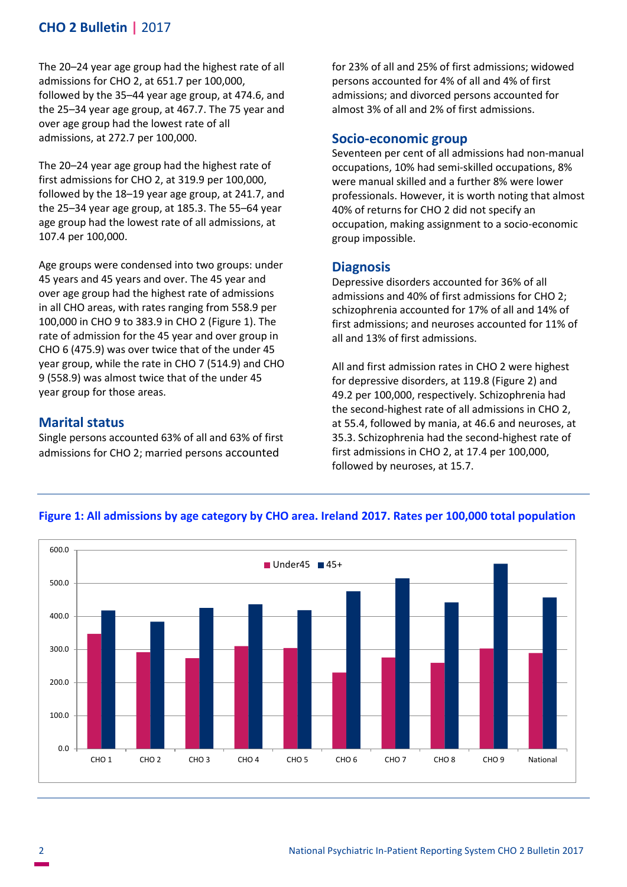# **CHO 2 Bulletin |** 2017

The 20–24 year age group had the highest rate of all admissions for CHO 2, at 651.7 per 100,000, followed by the 35–44 year age group, at 474.6, and the 25–34 year age group, at 467.7. The 75 year and over age group had the lowest rate of all admissions, at 272.7 per 100,000.

The 20–24 year age group had the highest rate of first admissions for CHO 2, at 319.9 per 100,000, followed by the 18–19 year age group, at 241.7, and the 25–34 year age group, at 185.3. The 55–64 year age group had the lowest rate of all admissions, at 107.4 per 100,000.

Age groups were condensed into two groups: under 45 years and 45 years and over. The 45 year and over age group had the highest rate of admissions in all CHO areas, with rates ranging from 558.9 per 100,000 in CHO 9 to 383.9 in CHO 2 (Figure 1). The rate of admission for the 45 year and over group in CHO 6 (475.9) was over twice that of the under 45 year group, while the rate in CHO 7 (514.9) and CHO 9 (558.9) was almost twice that of the under 45 year group for those areas.

## **Marital status**

Single persons accounted 63% of all and 63% of first admissions for CHO 2; married persons accounted

for 23% of all and 25% of first admissions; widowed persons accounted for 4% of all and 4% of first admissions; and divorced persons accounted for almost 3% of all and 2% of first admissions.

#### **Socio-economic group**

Seventeen per cent of all admissions had non-manual occupations, 10% had semi-skilled occupations, 8% were manual skilled and a further 8% were lower professionals. However, it is worth noting that almost 40% of returns for CHO 2 did not specify an occupation, making assignment to a socio-economic group impossible.

#### **Diagnosis**

Depressive disorders accounted for 36% of all admissions and 40% of first admissions for CHO 2; schizophrenia accounted for 17% of all and 14% of first admissions; and neuroses accounted for 11% of all and 13% of first admissions.

All and first admission rates in CHO 2 were highest for depressive disorders, at 119.8 (Figure 2) and 49.2 per 100,000, respectively. Schizophrenia had the second-highest rate of all admissions in CHO 2, at 55.4, followed by mania, at 46.6 and neuroses, at 35.3. Schizophrenia had the second-highest rate of first admissions in CHO 2, at 17.4 per 100,000, followed by neuroses, at 15.7.



## **Figure 1: All admissions by age category by CHO area. Ireland 2017. Rates per 100,000 total population**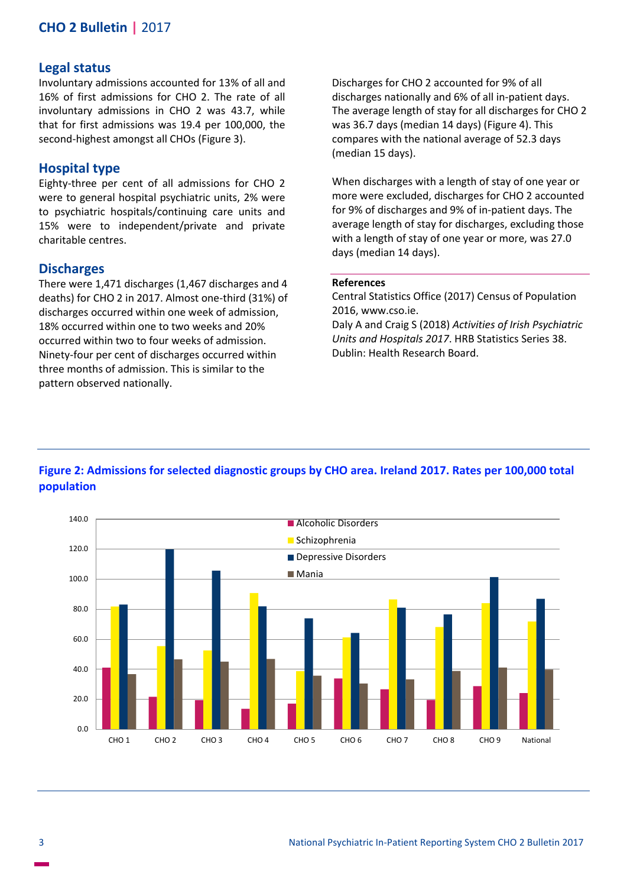# **CHO 2 Bulletin |** 2017

#### **Legal status**

Involuntary admissions accounted for 13% of all and 16% of first admissions for CHO 2. The rate of all involuntary admissions in CHO 2 was 43.7, while that for first admissions was 19.4 per 100,000, the second-highest amongst all CHOs (Figure 3).

#### **Hospital type**

Eighty-three per cent of all admissions for CHO 2 were to general hospital psychiatric units, 2% were to psychiatric hospitals/continuing care units and 15% were to independent/private and private charitable centres.

#### **Discharges**

There were 1,471 discharges (1,467 discharges and 4 deaths) for CHO 2 in 2017. Almost one-third (31%) of discharges occurred within one week of admission, 18% occurred within one to two weeks and 20% occurred within two to four weeks of admission. Ninety-four per cent of discharges occurred within three months of admission. This is similar to the pattern observed nationally.

Discharges for CHO 2 accounted for 9% of all discharges nationally and 6% of all in-patient days. The average length of stay for all discharges for CHO 2 was 36.7 days (median 14 days) (Figure 4). This compares with the national average of 52.3 days (median 15 days).

When discharges with a length of stay of one year or more were excluded, discharges for CHO 2 accounted for 9% of discharges and 9% of in-patient days. The average length of stay for discharges, excluding those with a length of stay of one year or more, was 27.0 days (median 14 days).

#### **References**

Central Statistics Office (2017) Census of Population 2016, www.cso.ie.

Daly A and Craig S (2018) *Activities of Irish Psychiatric Units and Hospitals 2017*. HRB Statistics Series 38. Dublin: Health Research Board.



## **Figure 2: Admissions for selected diagnostic groups by CHO area. Ireland 2017. Rates per 100,000 total population**